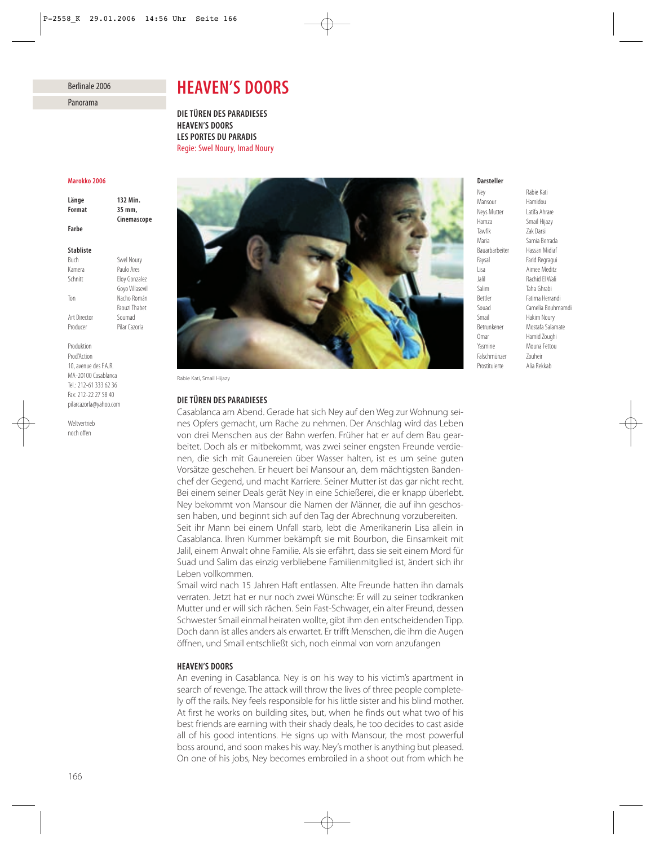# Berlinale 2006

Panorama

# *HEAVEN'S DOORS*

*DIE TÜREN DES PARADIESES HEAVEN'S DOORS LES PORTES DU PARADIS* Regie: Swel Noury, Imad Noury

### *Marokko 2006*

*Länge 132 Min. Format 35 mm, Cinemascope Farbe*

#### *Stabliste*

Buch Swel Noury Kamera Paulo Ares Schnitt Eloy Gonzalez Goyo Villasevil Ton Nacho Román Faouzi Thabet Art Director Soumad Producer Pilar Cazorla

Produktion Prod'Action 10, avenue des F.A.R. MA-20100 Casablanca Tel.: 212-61 333 62 36 Fax: 212-22 27 58 40 pilarcazorla@yahoo.com

Weltvertrieb noch offen



Rabie Kati, Smail Hijazy

## *DIE TÜREN DES PARADIESES*

Casablanca am Abend. Gerade hat sich Ney auf den Weg zur Wohnung seines Opfers gemacht, um Rache zu nehmen. Der Anschlag wird das Leben von drei Menschen aus der Bahn werfen. Früher hat er auf dem Bau gearbeitet. Doch als er mitbekommt, was zwei seiner engsten Freunde verdienen, die sich mit Gaunereien über Wasser halten, ist es um seine guten Vorsätze geschehen. Er heuert bei Mansour an, dem mächtigsten Bandenchef der Gegend, und macht Karriere. Seiner Mutter ist das gar nicht recht. Bei einem seiner Deals gerät Ney in eine Schießerei, die er knapp überlebt. Ney bekommt von Mansour die Namen der Männer, die auf ihn geschossen haben, und beginnt sich auf den Tag der Abrechnung vorzubereiten. Seit ihr Mann bei einem Unfall starb, lebt die Amerikanerin Lisa allein in Casablanca. Ihren Kummer bekämpft sie mit Bourbon, die Einsamkeit mit Jalil, einem Anwalt ohne Familie. Als sie erfährt, dass sie seit einem Mord für Suad und Salim das einzig verbliebene Familienmitglied ist, ändert sich ihr Leben vollkommen.

Smail wird nach 15 Jahren Haft entlassen. Alte Freunde hatten ihn damals verraten. Jetzt hat er nur noch zwei Wünsche: Er will zu seiner todkranken Mutter und er will sich rächen. Sein Fast-Schwager, ein alter Freund, dessen Schwester Smail einmal heiraten wollte, gibt ihm den entscheidenden Tipp. Doch dann ist alles anders als erwartet. Er trifft Menschen, die ihm die Augen öffnen, und Smail entschließt sich, noch einmal von vorn anzufangen

## *HEAVEN'S DOORS*

An evening in Casablanca. Ney is on his way to his victim's apartment in search of revenge. The attack will throw the lives of three people completely off the rails. Ney feels responsible for his little sister and his blind mother. At first he works on building sites, but, when he finds out what two of his best friends are earning with their shady deals, he too decides to cast aside all of his good intentions. He signs up with Mansour, the most powerful boss around, and soon makes his way. Ney's mother is anything but pleased. On one of his jobs, Ney becomes embroiled in a shoot out from which he

## *Darsteller*

Ney Rabie Kati<br>Mansour Hamidou Neys Mutter Latifa Ahrare Hamza Smail Hijazy Tawfik Zak Darsi Bauarbarbeiter Hassan Midiaf Faysal Farid Regragui Lisa Aimee Meditz Jalil Rachid El Wali Bettler Fatima Herrandi Smail Hakim Noury<br>Betrunkener Mostafa Salar Omar Hamid Zoughi Yasmine Mouna Fettou Falschmünzer Zouheir Prostituierte Alia Rekkab

Hamidou Samia Berrada Taha Ghrabi Souad Camelia Bouhmamdi **Mostafa Salamate**